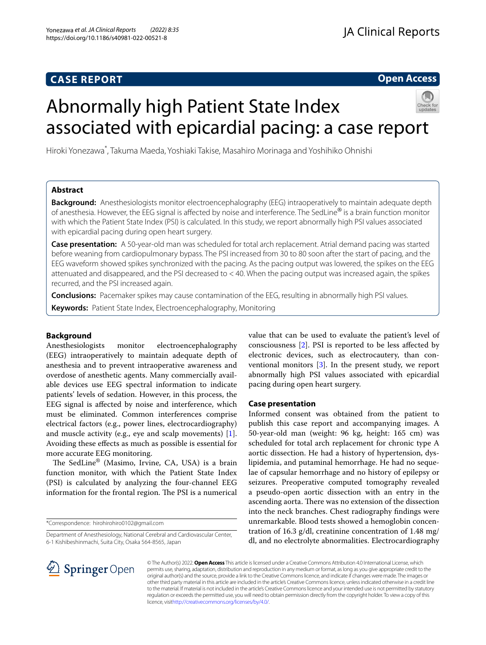## **CASE REPORT**

**Open Access**

# Abnormally high Patient State Index associated with epicardial pacing: a case report



## **Abstract**

**Background:** Anesthesiologists monitor electroencephalography (EEG) intraoperatively to maintain adequate depth of anesthesia. However, the EEG signal is afected by noise and interference. The SedLine® is a brain function monitor with which the Patient State Index (PSI) is calculated. In this study, we report abnormally high PSI values associated with epicardial pacing during open heart surgery.

**Case presentation:** A 50-year-old man was scheduled for total arch replacement. Atrial demand pacing was started before weaning from cardiopulmonary bypass. The PSI increased from 30 to 80 soon after the start of pacing, and the EEG waveform showed spikes synchronized with the pacing. As the pacing output was lowered, the spikes on the EEG attenuated and disappeared, and the PSI decreased to < 40. When the pacing output was increased again, the spikes recurred, and the PSI increased again.

**Conclusions:** Pacemaker spikes may cause contamination of the EEG, resulting in abnormally high PSI values.

**Keywords:** Patient State Index, Electroencephalography, Monitoring

## **Background**

Anesthesiologists monitor electroencephalography (EEG) intraoperatively to maintain adequate depth of anesthesia and to prevent intraoperative awareness and overdose of anesthetic agents. Many commercially available devices use EEG spectral information to indicate patients' levels of sedation. However, in this process, the EEG signal is afected by noise and interference, which must be eliminated. Common interferences comprise electrical factors (e.g., power lines, electrocardiography) and muscle activity (e.g., eye and scalp movements) [\[1](#page-2-0)]. Avoiding these efects as much as possible is essential for more accurate EEG monitoring.

The SedLine<sup>®</sup> (Masimo, Irvine, CA, USA) is a brain function monitor, with which the Patient State Index (PSI) is calculated by analyzing the four-channel EEG information for the frontal region. The PSI is a numerical

\*Correspondence: hirohirohiro0102@gmail.com

Department of Anesthesiology, National Cerebral and Cardiovascular Center,

6-1 Kishibeshinmachi, Suita City, Osaka 564-8565, Japan

value that can be used to evaluate the patient's level of consciousness [\[2](#page-2-1)]. PSI is reported to be less afected by electronic devices, such as electrocautery, than conventional monitors [\[3](#page-3-0)]. In the present study, we report abnormally high PSI values associated with epicardial pacing during open heart surgery.

## **Case presentation**

Informed consent was obtained from the patient to publish this case report and accompanying images. A 50-year-old man (weight: 96 kg, height: 165 cm) was scheduled for total arch replacement for chronic type A aortic dissection. He had a history of hypertension, dyslipidemia, and putaminal hemorrhage. He had no sequelae of capsular hemorrhage and no history of epilepsy or seizures. Preoperative computed tomography revealed a pseudo-open aortic dissection with an entry in the ascending aorta. There was no extension of the dissection into the neck branches. Chest radiography fndings were unremarkable. Blood tests showed a hemoglobin concentration of 16.3 g/dl, creatinine concentration of 1.48 mg/ dl, and no electrolyte abnormalities. Electrocardiography



© The Author(s) 2022. **Open Access** This article is licensed under a Creative Commons Attribution 4.0 International License, which permits use, sharing, adaptation, distribution and reproduction in any medium or format, as long as you give appropriate credit to the original author(s) and the source, provide a link to the Creative Commons licence, and indicate if changes were made. The images or other third party material in this article are included in the article's Creative Commons licence, unless indicated otherwise in a credit line to the material. If material is not included in the article's Creative Commons licence and your intended use is not permitted by statutory regulation or exceeds the permitted use, you will need to obtain permission directly from the copyright holder. To view a copy of this licence, visi[thttp://creativecommons.org/licenses/by/4.0/](http://creativecommons.org/licenses/by/4.0/).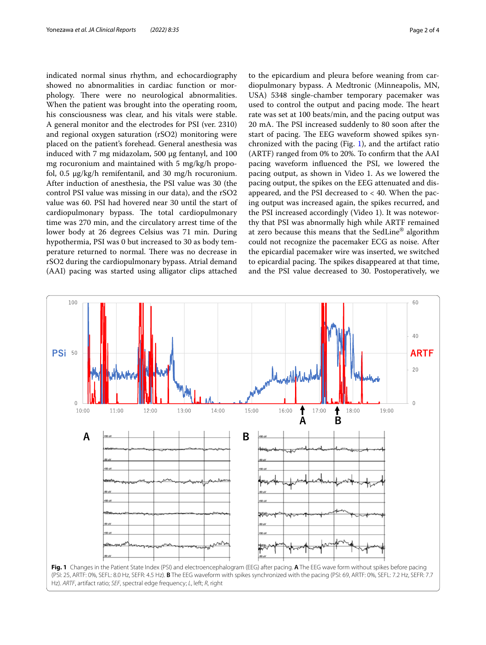indicated normal sinus rhythm, and echocardiography showed no abnormalities in cardiac function or morphology. There were no neurological abnormalities. When the patient was brought into the operating room, his consciousness was clear, and his vitals were stable. A general monitor and the electrodes for PSI (ver. 2310) and regional oxygen saturation (rSO2) monitoring were placed on the patient's forehead. General anesthesia was induced with 7 mg midazolam, 500 μg fentanyl, and 100 mg rocuronium and maintained with 5 mg/kg/h propofol, 0.5 μg/kg/h remifentanil, and 30 mg/h rocuronium. After induction of anesthesia, the PSI value was 30 (the control PSI value was missing in our data), and the rSO2 value was 60. PSI had hovered near 30 until the start of cardiopulmonary bypass. The total cardiopulmonary time was 270 min, and the circulatory arrest time of the lower body at 26 degrees Celsius was 71 min. During hypothermia, PSI was 0 but increased to 30 as body temperature returned to normal. There was no decrease in rSO2 during the cardiopulmonary bypass. Atrial demand (AAI) pacing was started using alligator clips attached

to the epicardium and pleura before weaning from cardiopulmonary bypass. A Medtronic (Minneapolis, MN, USA) 5348 single-chamber temporary pacemaker was used to control the output and pacing mode. The heart rate was set at 100 beats/min, and the pacing output was 20 mA. The PSI increased suddenly to 80 soon after the start of pacing. The EEG waveform showed spikes synchronized with the pacing (Fig. [1](#page-1-0)), and the artifact ratio (ARTF) ranged from 0% to 20%. To confrm that the AAI pacing waveform infuenced the PSI, we lowered the pacing output, as shown in Video 1. As we lowered the pacing output, the spikes on the EEG attenuated and disappeared, and the PSI decreased to  $<$  40. When the pacing output was increased again, the spikes recurred, and the PSI increased accordingly (Video 1). It was noteworthy that PSI was abnormally high while ARTF remained at zero because this means that the SedLine® algorithm could not recognize the pacemaker ECG as noise. After the epicardial pacemaker wire was inserted, we switched to epicardial pacing. The spikes disappeared at that time, and the PSI value decreased to 30. Postoperatively, we

<span id="page-1-0"></span>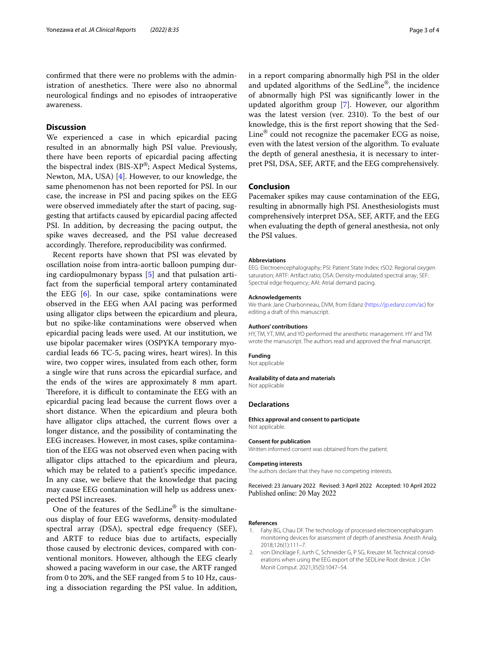confrmed that there were no problems with the administration of anesthetics. There were also no abnormal neurological fndings and no episodes of intraoperative awareness.

## **Discussion**

We experienced a case in which epicardial pacing resulted in an abnormally high PSI value. Previously, there have been reports of epicardial pacing afecting the bispectral index (BIS-XP®; Aspect Medical Systems, Newton, MA, USA) [\[4](#page-3-1)]. However, to our knowledge, the same phenomenon has not been reported for PSI. In our case, the increase in PSI and pacing spikes on the EEG were observed immediately after the start of pacing, suggesting that artifacts caused by epicardial pacing afected PSI. In addition, by decreasing the pacing output, the spike waves decreased, and the PSI value decreased accordingly. Therefore, reproducibility was confirmed.

Recent reports have shown that PSI was elevated by oscillation noise from intra-aortic balloon pumping during cardiopulmonary bypass [\[5](#page-3-2)] and that pulsation artifact from the superficial temporal artery contaminated the EEG [[6\]](#page-3-3). In our case, spike contaminations were observed in the EEG when AAI pacing was performed using alligator clips between the epicardium and pleura, but no spike-like contaminations were observed when epicardial pacing leads were used. At our institution, we use bipolar pacemaker wires (OSPYKA temporary myocardial leads 66 TC-5, pacing wires, heart wires). In this wire, two copper wires, insulated from each other, form a single wire that runs across the epicardial surface, and the ends of the wires are approximately 8 mm apart. Therefore, it is difficult to contaminate the EEG with an epicardial pacing lead because the current flows over a short distance. When the epicardium and pleura both have alligator clips attached, the current flows over a longer distance, and the possibility of contaminating the EEG increases. However, in most cases, spike contamination of the EEG was not observed even when pacing with alligator clips attached to the epicardium and pleura, which may be related to a patient's specifc impedance. In any case, we believe that the knowledge that pacing may cause EEG contamination will help us address unexpected PSI increases.

One of the features of the SedLine® is the simultaneous display of four EEG waveforms, density-modulated spectral array (DSA), spectral edge frequency (SEF), and ARTF to reduce bias due to artifacts, especially those caused by electronic devices, compared with conventional monitors. However, although the EEG clearly showed a pacing waveform in our case, the ARTF ranged from 0 to 20%, and the SEF ranged from 5 to 10 Hz, causing a dissociation regarding the PSI value. In addition, in a report comparing abnormally high PSI in the older and updated algorithms of the SedLine®, the incidence of abnormally high PSI was signifcantly lower in the updated algorithm group [[7\]](#page-3-4). However, our algorithm was the latest version (ver. 2310). To the best of our knowledge, this is the frst report showing that the Sed-Line® could not recognize the pacemaker ECG as noise, even with the latest version of the algorithm. To evaluate the depth of general anesthesia, it is necessary to interpret PSI, DSA, SEF, ARTF, and the EEG comprehensively.

### **Conclusion**

Pacemaker spikes may cause contamination of the EEG, resulting in abnormally high PSI. Anesthesiologists must comprehensively interpret DSA, SEF, ARTF, and the EEG when evaluating the depth of general anesthesia, not only the PSI values.

#### **Abbreviations**

EEG: Electroencephalography; PSI: Patient State Index; rSO2: Regional oxygen saturation; ARTF: Artifact ratio; DSA: Density-modulated spectral array; SEF: Spectral edge frequency; AAI: Atrial demand pacing.

#### **Acknowledgements**

We thank Jane Charbonneau, DVM, from Edanz (<https://jp.edanz.com/ac>) for editing a draft of this manuscript.

#### **Authors' contributions**

HY, TM, YT, MM, and YO performed the anesthetic management. HY and TM wrote the manuscript. The authors read and approved the fnal manuscript.

#### **Funding**

Not applicable

#### **Availability of data and materials**

Not applicable

#### **Declarations**

**Ethics approval and consent to participate** Not applicable.

#### **Consent for publication**

Written informed consent was obtained from the patient.

#### **Competing interests**

The authors declare that they have no competing interests.

Received: 23 January 2022 Revised: 3 April 2022 Accepted: 10 April 2022 Published online: 20 May 2022

#### **References**

- <span id="page-2-0"></span>1. Fahy BG, Chau DF. The technology of processed electroencephalogram monitoring devices for assessment of depth of anesthesia. Anesth Analg. 2018;126(1):111–7.
- <span id="page-2-1"></span>2. von Dincklage F, Jurth C, Schneider G, P SG, Kreuzer M. Technical considerations when using the EEG export of the SEDLine Root device. J Clin Monit Comput. 2021;35(5):1047–54.